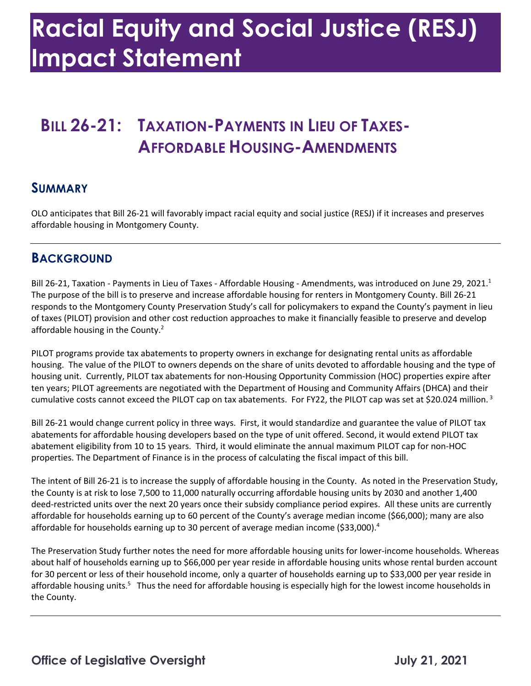## **Racial Equity and Social Justice (RESJ) Impact Statement**

# **AFFORDABLE HOUSING-AMENDMENTS SUMMARY BILL 26-21: TAXATION-PAYMENTS IN LIEU OF TAXES-**

 OLO anticipates that Bill 26-21 will favorably impact racial equity and social justice (RESJ) if it increases and preserves affordable housing in Montgomery County.

#### **BACKGROUND**

Bill 26-21, Taxation - Payments in Lieu of Taxes - Affordable Housing - Amendments, was introduced on June 29, 2021.<sup>1</sup> The purpose of the bill is to preserve and increase affordable housing for renters in Montgomery County. Bill 26-21 affordable housing in the County.<sup>2</sup> responds to the Montgomery County Preservation Study's call for policymakers to expand the County's payment in lieu of taxes (PILOT) provision and other cost reduction approaches to make it financially feasible to preserve and develop

 PILOT programs provide tax abatements to property owners in exchange for designating rental units as affordable housing. The value of the PILOT to owners depends on the share of units devoted to affordable housing and the type of housing unit. Currently, PILOT tax abatements for non-Housing Opportunity Commission (HOC) properties expire after cumulative costs cannot exceed the PILOT cap on tax abatements. For FY22, the PILOT cap was set at \$20.024 million.<sup>3</sup> ten years; PILOT agreements are negotiated with the Department of Housing and Community Affairs (DHCA) and their

 Bill 26-21 would change current policy in three ways. First, it would standardize and guarantee the value of PILOT tax abatements for affordable housing developers based on the type of unit offered. Second, it would extend PILOT tax abatement eligibility from 10 to 15 years. Third, it would eliminate the annual maximum PILOT cap for non-HOC properties. The Department of Finance is in the process of calculating the fiscal impact of this bill.

 The intent of Bill 26-21 is to increase the supply of affordable housing in the County. As noted in the Preservation Study, deed-restricted units over the next 20 years once their subsidy compliance period expires. All these units are currently affordable for households earning up to 60 percent of the County's average median income (\$66,000); many are also affordable for households earning up to 30 percent of average median income (\$33,000).<sup>4</sup> the County is at risk to lose 7,500 to 11,000 naturally occurring affordable housing units by 2030 and another 1,400

 The Preservation Study further notes the need for more affordable housing units for lower-income households. Whereas about half of households earning up to \$66,000 per year reside in affordable housing units whose rental burden account for 30 percent or less of their household income, only a quarter of households earning up to \$33,000 per year reside in affordable housing units.<sup>5</sup> Thus the need for affordable housing is especially high for the lowest income households in the County.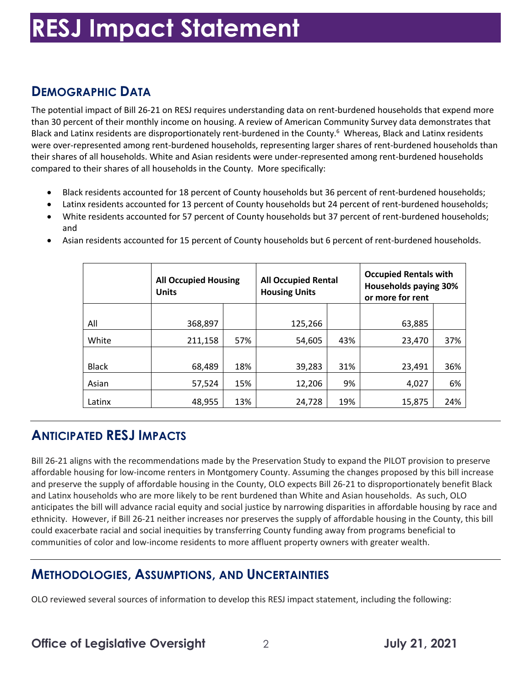## **RESJ Impact Statement**

### **DEMOGRAPHIC DATA**

 The potential impact of Bill 26-21 on RESJ requires understanding data on rent-burdened households that expend more than 30 percent of their monthly income on housing. A review of American Community Survey data demonstrates that Black and Latinx residents are disproportionately rent-burdened in the County.<sup>6</sup> Whereas, Black and Latinx residents their shares of all households. White and Asian residents were under-represented among rent-burdened households compared to their shares of all households in the County. More specifically: were over-represented among rent-burdened households, representing larger shares of rent-burdened households than

- Black residents accounted for 18 percent of County households but 36 percent of rent-burdened households;
- Latinx residents accounted for 13 percent of County households but 24 percent of rent-burdened households;
- • White residents accounted for 57 percent of County households but 37 percent of rent-burdened households; and

|              | <b>All Occupied Housing</b><br><b>Units</b> |     | <b>All Occupied Rental</b><br><b>Housing Units</b> |     | <b>Occupied Rentals with</b><br><b>Households paying 30%</b><br>or more for rent |     |
|--------------|---------------------------------------------|-----|----------------------------------------------------|-----|----------------------------------------------------------------------------------|-----|
| All          | 368,897                                     |     | 125,266                                            |     | 63,885                                                                           |     |
| White        | 211,158                                     | 57% | 54,605                                             | 43% | 23,470                                                                           | 37% |
| <b>Black</b> | 68,489                                      | 18% | 39,283                                             | 31% | 23,491                                                                           | 36% |
| Asian        | 57,524                                      | 15% | 12,206                                             | 9%  | 4,027                                                                            | 6%  |
| Latinx       | 48,955                                      | 13% | 24,728                                             | 19% | 15,875                                                                           | 24% |

• Asian residents accounted for 15 percent of County households but 6 percent of rent-burdened households.

#### **ANTICIPATED RESJ IMPACTS**

 Bill 26-21 aligns with the recommendations made by the Preservation Study to expand the PILOT provision to preserve affordable housing for low-income renters in Montgomery County. Assuming the changes proposed by this bill increase and preserve the supply of affordable housing in the County, OLO expects Bill 26-21 to disproportionately benefit Black and Latinx households who are more likely to be rent burdened than White and Asian households. As such, OLO anticipates the bill will advance racial equity and social justice by narrowing disparities in affordable housing by race and ethnicity. However, if Bill 26-21 neither increases nor preserves the supply of affordable housing in the County, this bill could exacerbate racial and social inequities by transferring County funding away from programs beneficial to communities of color and low-income residents to more affluent property owners with greater wealth.

#### **METHODOLOGIES, ASSUMPTIONS, AND UNCERTAINTIES**

OLO reviewed several sources of information to develop this RESJ impact statement, including the following: